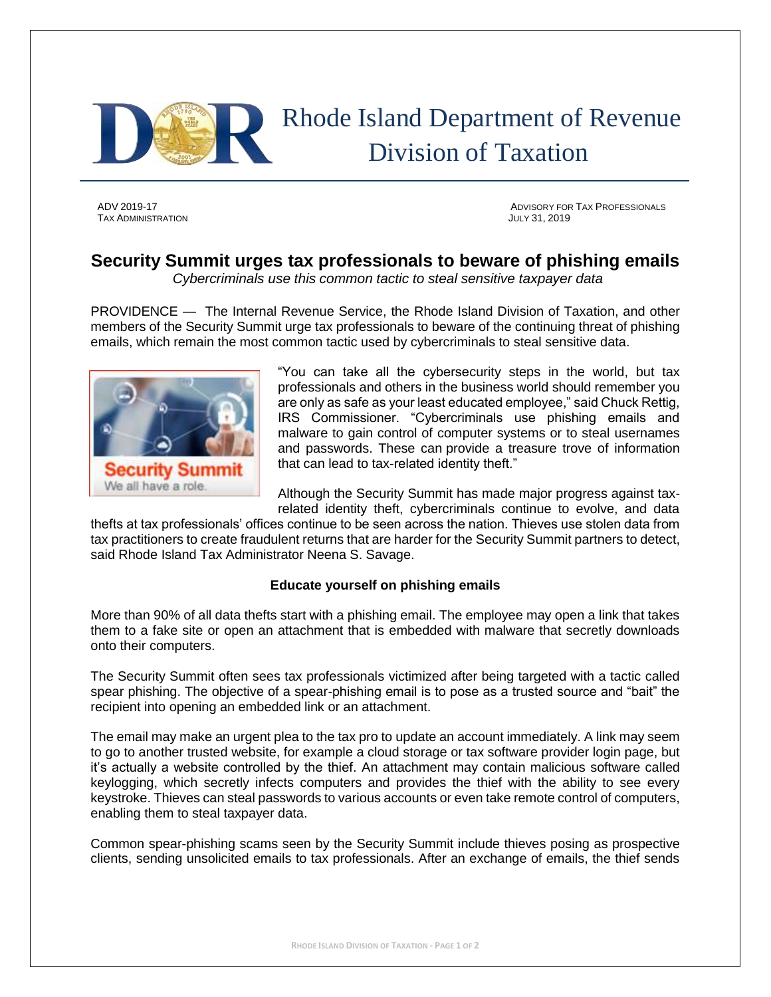

## Rhode Island Department of Revenue Division of Taxation

TAX ADMINISTRATION JULY 31, 2019

ADV 2019-17 ADVISORY FOR TAX PROFESSIONALS

## **Security Summit urges tax professionals to beware of phishing emails**

*Cybercriminals use this common tactic to steal sensitive taxpayer data*

PROVIDENCE — The Internal Revenue Service, the Rhode Island Division of Taxation, and other members of the Security Summit urge tax professionals to beware of the continuing threat of phishing emails, which remain the most common tactic used by cybercriminals to steal sensitive data.



"You can take all the cybersecurity steps in the world, but tax professionals and others in the business world should remember you are only as safe as your least educated employee," said Chuck Rettig, IRS Commissioner. "Cybercriminals use phishing emails and malware to gain control of computer systems or to steal usernames and passwords. These can provide a treasure trove of information that can lead to tax-related identity theft."

Although the Security Summit has made major progress against taxrelated identity theft, cybercriminals continue to evolve, and data

thefts at tax professionals' offices continue to be seen across the nation. Thieves use stolen data from tax practitioners to create fraudulent returns that are harder for the Security Summit partners to detect, said Rhode Island Tax Administrator Neena S. Savage.

## **Educate yourself on phishing emails**

More than 90% of all data thefts start with a phishing email. The employee may open a link that takes them to a fake site or open an attachment that is embedded with malware that secretly downloads onto their computers.

The Security Summit often sees tax professionals victimized after being targeted with a tactic called spear phishing. The objective of a spear-phishing email is to pose as a trusted source and "bait" the recipient into opening an embedded link or an attachment.

The email may make an urgent plea to the tax pro to update an account immediately. A link may seem to go to another trusted website, for example a cloud storage or tax software provider login page, but it's actually a website controlled by the thief. An attachment may contain malicious software called keylogging, which secretly infects computers and provides the thief with the ability to see every keystroke. Thieves can steal passwords to various accounts or even take remote control of computers, enabling them to steal taxpayer data.

Common spear-phishing scams seen by the Security Summit include thieves posing as prospective clients, sending unsolicited emails to tax professionals. After an exchange of emails, the thief sends